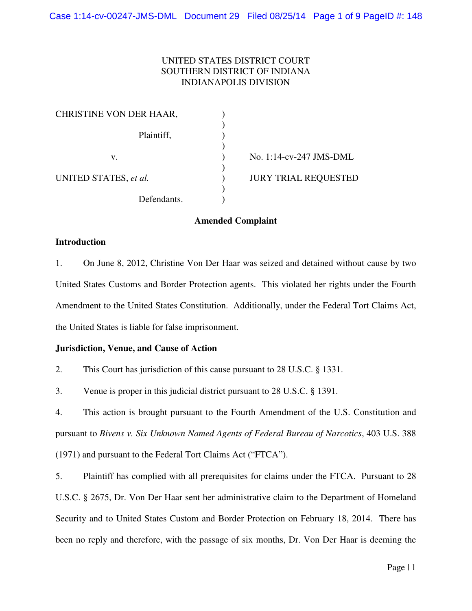# UNITED STATES DISTRICT COURT SOUTHERN DISTRICT OF INDIANA INDIANAPOLIS DIVISION

| No. 1:14-cv-247 JMS-DML     |
|-----------------------------|
|                             |
| <b>JURY TRIAL REQUESTED</b> |
|                             |
|                             |

## **Amended Complaint**

### **Introduction**

1. On June 8, 2012, Christine Von Der Haar was seized and detained without cause by two United States Customs and Border Protection agents. This violated her rights under the Fourth Amendment to the United States Constitution. Additionally, under the Federal Tort Claims Act, the United States is liable for false imprisonment.

## **Jurisdiction, Venue, and Cause of Action**

2. This Court has jurisdiction of this cause pursuant to 28 U.S.C. § 1331.

3. Venue is proper in this judicial district pursuant to 28 U.S.C. § 1391.

4. This action is brought pursuant to the Fourth Amendment of the U.S. Constitution and pursuant to *Bivens v. Six Unknown Named Agents of Federal Bureau of Narcotics*, 403 U.S. 388 (1971) and pursuant to the Federal Tort Claims Act ("FTCA").

5. Plaintiff has complied with all prerequisites for claims under the FTCA. Pursuant to 28 U.S.C. § 2675, Dr. Von Der Haar sent her administrative claim to the Department of Homeland Security and to United States Custom and Border Protection on February 18, 2014. There has been no reply and therefore, with the passage of six months, Dr. Von Der Haar is deeming the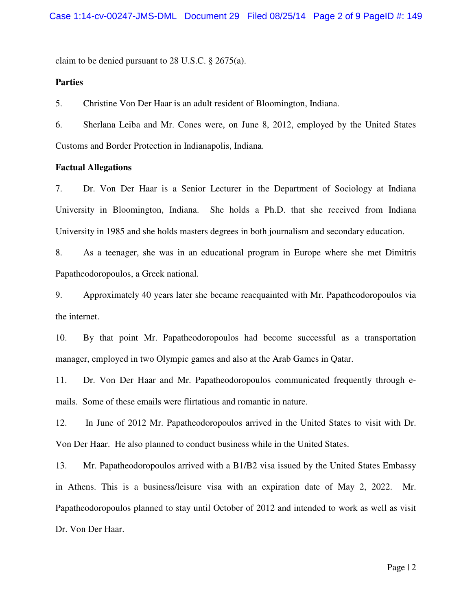claim to be denied pursuant to 28 U.S.C. § 2675(a).

### **Parties**

5. Christine Von Der Haar is an adult resident of Bloomington, Indiana.

6. Sherlana Leiba and Mr. Cones were, on June 8, 2012, employed by the United States Customs and Border Protection in Indianapolis, Indiana.

#### **Factual Allegations**

7. Dr. Von Der Haar is a Senior Lecturer in the Department of Sociology at Indiana University in Bloomington, Indiana. She holds a Ph.D. that she received from Indiana University in 1985 and she holds masters degrees in both journalism and secondary education.

8. As a teenager, she was in an educational program in Europe where she met Dimitris Papatheodoropoulos, a Greek national.

9. Approximately 40 years later she became reacquainted with Mr. Papatheodoropoulos via the internet.

10. By that point Mr. Papatheodoropoulos had become successful as a transportation manager, employed in two Olympic games and also at the Arab Games in Qatar.

11. Dr. Von Der Haar and Mr. Papatheodoropoulos communicated frequently through emails. Some of these emails were flirtatious and romantic in nature.

12. In June of 2012 Mr. Papatheodoropoulos arrived in the United States to visit with Dr. Von Der Haar. He also planned to conduct business while in the United States.

13. Mr. Papatheodoropoulos arrived with a B1/B2 visa issued by the United States Embassy in Athens. This is a business/leisure visa with an expiration date of May 2, 2022. Mr. Papatheodoropoulos planned to stay until October of 2012 and intended to work as well as visit Dr. Von Der Haar.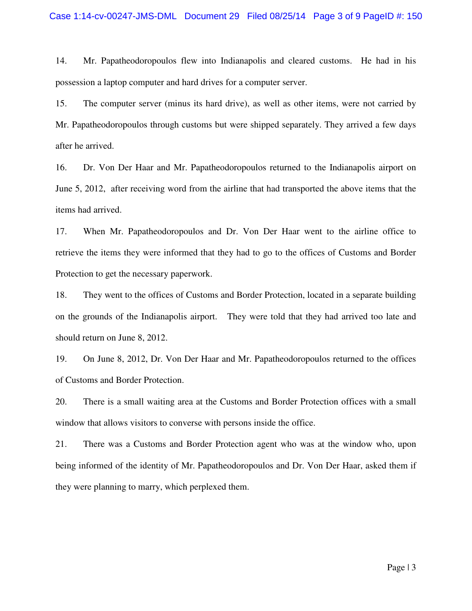14. Mr. Papatheodoropoulos flew into Indianapolis and cleared customs. He had in his possession a laptop computer and hard drives for a computer server.

15. The computer server (minus its hard drive), as well as other items, were not carried by Mr. Papatheodoropoulos through customs but were shipped separately. They arrived a few days after he arrived.

16. Dr. Von Der Haar and Mr. Papatheodoropoulos returned to the Indianapolis airport on June 5, 2012, after receiving word from the airline that had transported the above items that the items had arrived.

17. When Mr. Papatheodoropoulos and Dr. Von Der Haar went to the airline office to retrieve the items they were informed that they had to go to the offices of Customs and Border Protection to get the necessary paperwork.

18. They went to the offices of Customs and Border Protection, located in a separate building on the grounds of the Indianapolis airport. They were told that they had arrived too late and should return on June 8, 2012.

19. On June 8, 2012, Dr. Von Der Haar and Mr. Papatheodoropoulos returned to the offices of Customs and Border Protection.

20. There is a small waiting area at the Customs and Border Protection offices with a small window that allows visitors to converse with persons inside the office.

21. There was a Customs and Border Protection agent who was at the window who, upon being informed of the identity of Mr. Papatheodoropoulos and Dr. Von Der Haar, asked them if they were planning to marry, which perplexed them.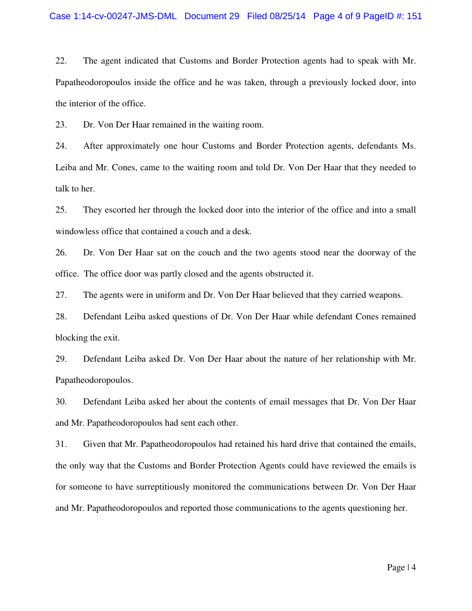22. The agent indicated that Customs and Border Protection agents had to speak with Mr. Papatheodoropoulos inside the office and he was taken, through a previously locked door, into the interior of the office.

23. Dr. Von Der Haar remained in the waiting room.

24. After approximately one hour Customs and Border Protection agents, defendants Ms. Leiba and Mr. Cones, came to the waiting room and told Dr. Von Der Haar that they needed to talk to her.

25. They escorted her through the locked door into the interior of the office and into a small windowless office that contained a couch and a desk.

26. Dr. Von Der Haar sat on the couch and the two agents stood near the doorway of the office. The office door was partly closed and the agents obstructed it.

27. The agents were in uniform and Dr. Von Der Haar believed that they carried weapons.

28. Defendant Leiba asked questions of Dr. Von Der Haar while defendant Cones remained blocking the exit.

29. Defendant Leiba asked Dr. Von Der Haar about the nature of her relationship with Mr. Papatheodoropoulos.

30. Defendant Leiba asked her about the contents of email messages that Dr. Von Der Haar and Mr. Papatheodoropoulos had sent each other.

31. Given that Mr. Papatheodoropoulos had retained his hard drive that contained the emails, the only way that the Customs and Border Protection Agents could have reviewed the emails is for someone to have surreptitiously monitored the communications between Dr. Von Der Haar and Mr. Papatheodoropoulos and reported those communications to the agents questioning her.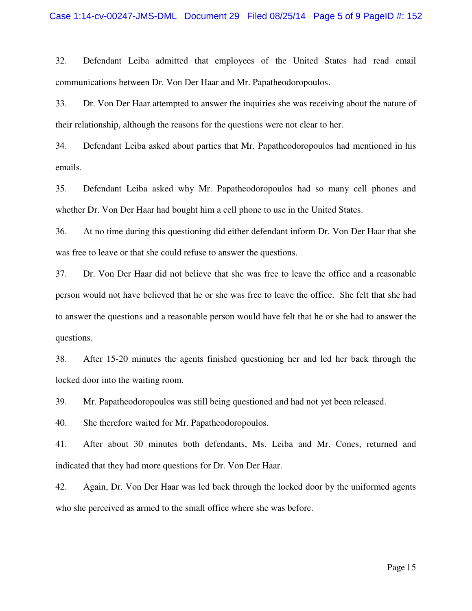32. Defendant Leiba admitted that employees of the United States had read email communications between Dr. Von Der Haar and Mr. Papatheodoropoulos.

33. Dr. Von Der Haar attempted to answer the inquiries she was receiving about the nature of their relationship, although the reasons for the questions were not clear to her.

34. Defendant Leiba asked about parties that Mr. Papatheodoropoulos had mentioned in his emails.

35. Defendant Leiba asked why Mr. Papatheodoropoulos had so many cell phones and whether Dr. Von Der Haar had bought him a cell phone to use in the United States.

36. At no time during this questioning did either defendant inform Dr. Von Der Haar that she was free to leave or that she could refuse to answer the questions.

37. Dr. Von Der Haar did not believe that she was free to leave the office and a reasonable person would not have believed that he or she was free to leave the office. She felt that she had to answer the questions and a reasonable person would have felt that he or she had to answer the questions.

38. After 15-20 minutes the agents finished questioning her and led her back through the locked door into the waiting room.

39. Mr. Papatheodoropoulos was still being questioned and had not yet been released.

40. She therefore waited for Mr. Papatheodoropoulos.

41. After about 30 minutes both defendants, Ms. Leiba and Mr. Cones, returned and indicated that they had more questions for Dr. Von Der Haar.

42. Again, Dr. Von Der Haar was led back through the locked door by the uniformed agents who she perceived as armed to the small office where she was before.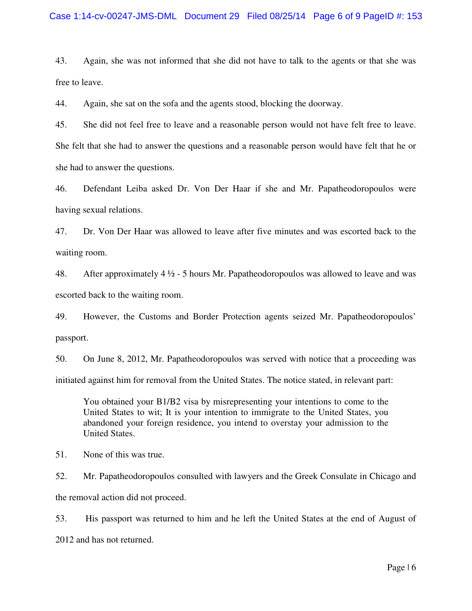### Case 1:14-cv-00247-JMS-DML Document 29 Filed 08/25/14 Page 6 of 9 PageID #: 153

43. Again, she was not informed that she did not have to talk to the agents or that she was free to leave.

44. Again, she sat on the sofa and the agents stood, blocking the doorway.

45. She did not feel free to leave and a reasonable person would not have felt free to leave. She felt that she had to answer the questions and a reasonable person would have felt that he or she had to answer the questions.

46. Defendant Leiba asked Dr. Von Der Haar if she and Mr. Papatheodoropoulos were having sexual relations.

47. Dr. Von Der Haar was allowed to leave after five minutes and was escorted back to the waiting room.

48. After approximately 4  $\frac{1}{2}$  - 5 hours Mr. Papatheodoropoulos was allowed to leave and was escorted back to the waiting room.

49. However, the Customs and Border Protection agents seized Mr. Papatheodoropoulos' passport.

50. On June 8, 2012, Mr. Papatheodoropoulos was served with notice that a proceeding was initiated against him for removal from the United States. The notice stated, in relevant part:

You obtained your B1/B2 visa by misrepresenting your intentions to come to the United States to wit; It is your intention to immigrate to the United States, you abandoned your foreign residence, you intend to overstay your admission to the United States.

51. None of this was true.

52. Mr. Papatheodoropoulos consulted with lawyers and the Greek Consulate in Chicago and the removal action did not proceed.

53. His passport was returned to him and he left the United States at the end of August of 2012 and has not returned.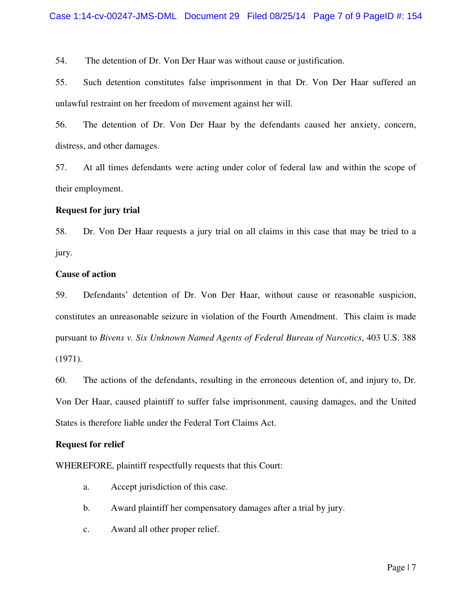54. The detention of Dr. Von Der Haar was without cause or justification.

55. Such detention constitutes false imprisonment in that Dr. Von Der Haar suffered an unlawful restraint on her freedom of movement against her will.

56. The detention of Dr. Von Der Haar by the defendants caused her anxiety, concern, distress, and other damages.

57. At all times defendants were acting under color of federal law and within the scope of their employment.

### **Request for jury trial**

58. Dr. Von Der Haar requests a jury trial on all claims in this case that may be tried to a jury.

### **Cause of action**

59. Defendants' detention of Dr. Von Der Haar, without cause or reasonable suspicion, constitutes an unreasonable seizure in violation of the Fourth Amendment. This claim is made pursuant to *Bivens v. Six Unknown Named Agents of Federal Bureau of Narcotics*, 403 U.S. 388 (1971).

60. The actions of the defendants, resulting in the erroneous detention of, and injury to, Dr. Von Der Haar, caused plaintiff to suffer false imprisonment, causing damages, and the United States is therefore liable under the Federal Tort Claims Act.

#### **Request for relief**

WHEREFORE, plaintiff respectfully requests that this Court:

- a. Accept jurisdiction of this case.
- b. Award plaintiff her compensatory damages after a trial by jury.
- c. Award all other proper relief.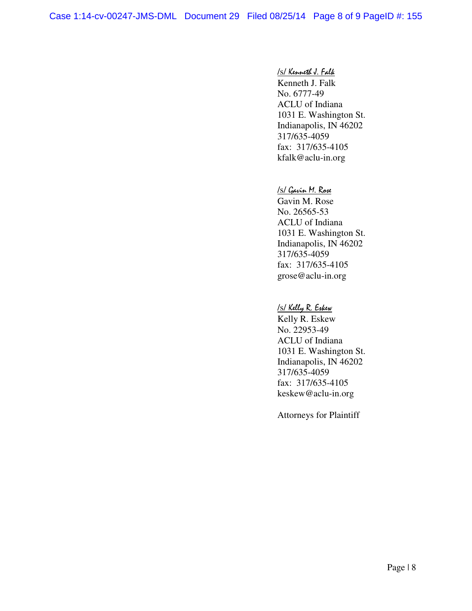#### /s/ Kenneth J. Falk

 Kenneth J. Falk No. 6777-49 ACLU of Indiana 1031 E. Washington St. Indianapolis, IN 46202 317/635-4059 fax: 317/635-4105 kfalk@aclu-in.org

#### /s/ Gavin M. Rose

 Gavin M. Rose No. 26565-53 ACLU of Indiana 1031 E. Washington St. Indianapolis, IN 46202 317/635-4059 fax: 317/635-4105 grose@aclu-in.org

#### /s/ Kelly R. Eskew

 Kelly R. Eskew No. 22953-49 ACLU of Indiana 1031 E. Washington St. Indianapolis, IN 46202 317/635-4059 fax: 317/635-4105 keskew@aclu-in.org

Attorneys for Plaintiff